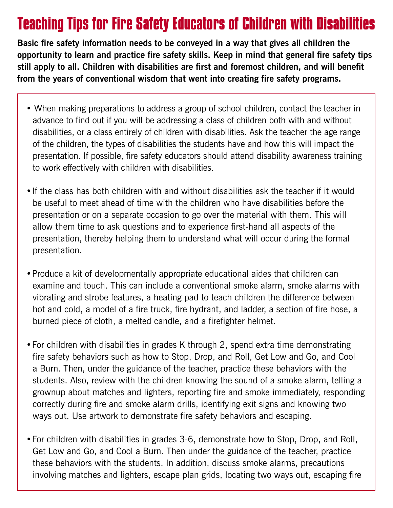## **Teaching Tips for Fire Safety Educators of Children with Disabilities**

**Basic fire safety information needs to be conveyed in a way that gives all children the opportunity to learn and practice fire safety skills. Keep in mind that general fire safety tips still apply to all. Children with disabilities are first and foremost children, and will benefit from the years of conventional wisdom that went into creating fire safety programs.**

- When making preparations to address a group of school children, contact the teacher in advance to find out if you will be addressing a class of children both with and without disabilities, or a class entirely of children with disabilities. Ask the teacher the age range of the children, the types of disabilities the students have and how this will impact the presentation. If possible, fire safety educators should attend disability awareness training to work effectively with children with disabilities.
- If the class has both children with and without disabilities ask the teacher if it would be useful to meet ahead of time with the children who have disabilities before the presentation or on a separate occasion to go over the material with them. This will allow them time to ask questions and to experience first-hand all aspects of the presentation, thereby helping them to understand what will occur during the formal presentation.
- Produce a kit of developmentally appropriate educational aides that children can examine and touch. This can include a conventional smoke alarm, smoke alarms with vibrating and strobe features, a heating pad to teach children the difference between hot and cold, a model of a fire truck, fire hydrant, and ladder, a section of fire hose, a burned piece of cloth, a melted candle, and a firefighter helmet.
- For children with disabilities in grades K through 2, spend extra time demonstrating fire safety behaviors such as how to Stop, Drop, and Roll, Get Low and Go, and Cool a Burn. Then, under the guidance of the teacher, practice these behaviors with the students. Also, review with the children knowing the sound of a smoke alarm, telling a grownup about matches and lighters, reporting fire and smoke immediately, responding correctly during fire and smoke alarm drills, identifying exit signs and knowing two ways out. Use artwork to demonstrate fire safety behaviors and escaping.
- For children with disabilities in grades 3-6, demonstrate how to Stop, Drop, and Roll, Get Low and Go, and Cool a Burn. Then under the guidance of the teacher, practice these behaviors with the students. In addition, discuss smoke alarms, precautions involving matches and lighters, escape plan grids, locating two ways out, escaping fire